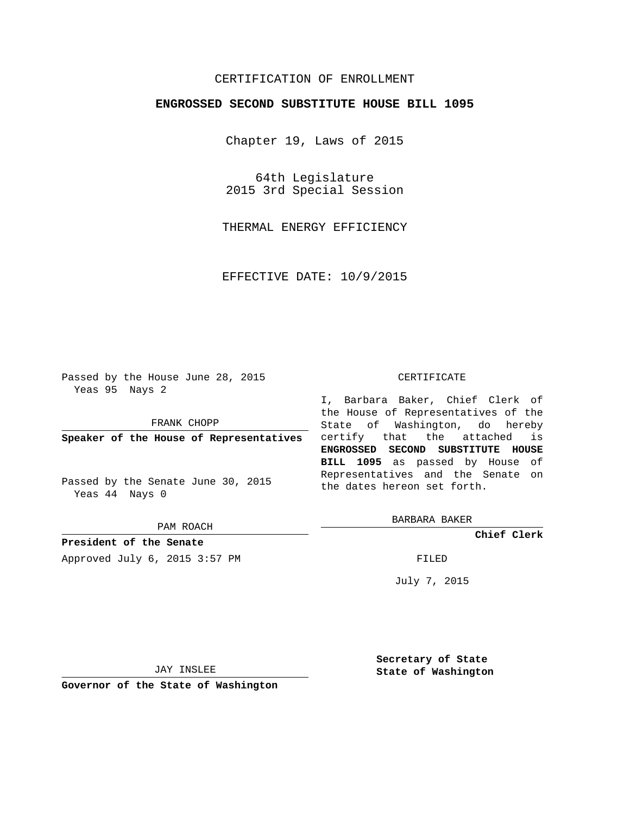## CERTIFICATION OF ENROLLMENT

## **ENGROSSED SECOND SUBSTITUTE HOUSE BILL 1095**

Chapter 19, Laws of 2015

64th Legislature 2015 3rd Special Session

THERMAL ENERGY EFFICIENCY

EFFECTIVE DATE: 10/9/2015

Passed by the House June 28, 2015 Yeas 95 Nays 2

FRANK CHOPP

**Speaker of the House of Representatives**

Passed by the Senate June 30, 2015 Yeas 44 Nays 0

PAM ROACH

**President of the Senate** Approved July 6, 2015 3:57 PM FILED

## CERTIFICATE

I, Barbara Baker, Chief Clerk of the House of Representatives of the State of Washington, do hereby certify that the attached is **ENGROSSED SECOND SUBSTITUTE HOUSE BILL 1095** as passed by House of Representatives and the Senate on the dates hereon set forth.

BARBARA BAKER

**Chief Clerk**

July 7, 2015

JAY INSLEE

**Governor of the State of Washington**

**Secretary of State State of Washington**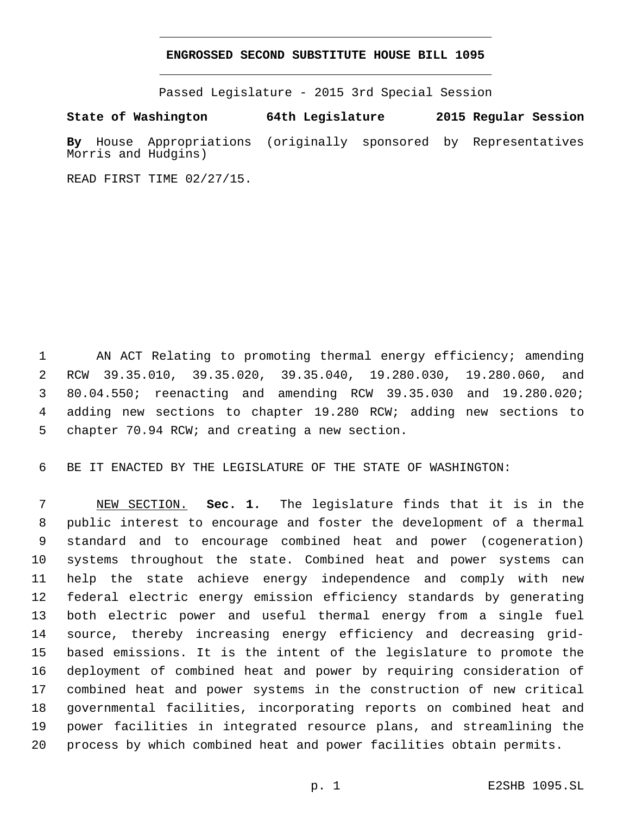## **ENGROSSED SECOND SUBSTITUTE HOUSE BILL 1095**

Passed Legislature - 2015 3rd Special Session

**State of Washington 64th Legislature 2015 Regular Session By** House Appropriations (originally sponsored by Representatives Morris and Hudgins)

READ FIRST TIME 02/27/15.

 AN ACT Relating to promoting thermal energy efficiency; amending RCW 39.35.010, 39.35.020, 39.35.040, 19.280.030, 19.280.060, and 80.04.550; reenacting and amending RCW 39.35.030 and 19.280.020; adding new sections to chapter 19.280 RCW; adding new sections to 5 chapter 70.94 RCW; and creating a new section.

BE IT ENACTED BY THE LEGISLATURE OF THE STATE OF WASHINGTON:

 NEW SECTION. **Sec. 1.** The legislature finds that it is in the public interest to encourage and foster the development of a thermal standard and to encourage combined heat and power (cogeneration) systems throughout the state. Combined heat and power systems can help the state achieve energy independence and comply with new federal electric energy emission efficiency standards by generating both electric power and useful thermal energy from a single fuel source, thereby increasing energy efficiency and decreasing grid- based emissions. It is the intent of the legislature to promote the deployment of combined heat and power by requiring consideration of combined heat and power systems in the construction of new critical governmental facilities, incorporating reports on combined heat and power facilities in integrated resource plans, and streamlining the process by which combined heat and power facilities obtain permits.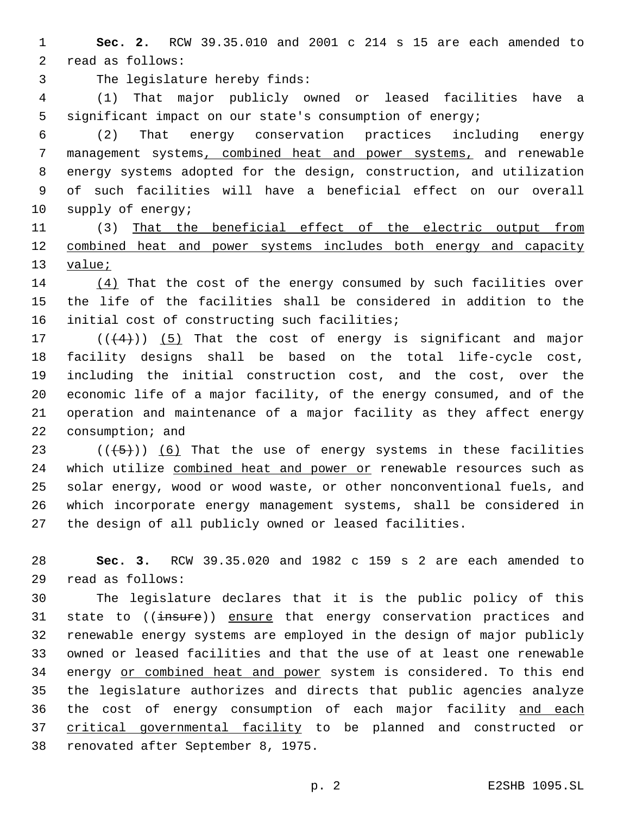**Sec. 2.** RCW 39.35.010 and 2001 c 214 s 15 are each amended to 2 read as follows:

3 The legislature hereby finds:

 (1) That major publicly owned or leased facilities have a significant impact on our state's consumption of energy;

 (2) That energy conservation practices including energy management systems, combined heat and power systems, and renewable energy systems adopted for the design, construction, and utilization of such facilities will have a beneficial effect on our overall 10 supply of energy;

 (3) That the beneficial effect of the electric output from combined heat and power systems includes both energy and capacity 13 value;

 (4) That the cost of the energy consumed by such facilities over the life of the facilities shall be considered in addition to the 16 initial cost of constructing such facilities;

 $((+4))$   $(5)$  That the cost of energy is significant and major facility designs shall be based on the total life-cycle cost, including the initial construction cost, and the cost, over the economic life of a major facility, of the energy consumed, and of the operation and maintenance of a major facility as they affect energy 22 consumption; and

 $((+5+))$  (6) That the use of energy systems in these facilities 24 which utilize combined heat and power or renewable resources such as solar energy, wood or wood waste, or other nonconventional fuels, and which incorporate energy management systems, shall be considered in the design of all publicly owned or leased facilities.

 **Sec. 3.** RCW 39.35.020 and 1982 c 159 s 2 are each amended to read as follows:29

 The legislature declares that it is the public policy of this 31 state to ((insure)) ensure that energy conservation practices and renewable energy systems are employed in the design of major publicly owned or leased facilities and that the use of at least one renewable 34 energy or combined heat and power system is considered. To this end the legislature authorizes and directs that public agencies analyze the cost of energy consumption of each major facility and each critical governmental facility to be planned and constructed or 38 renovated after September 8, 1975.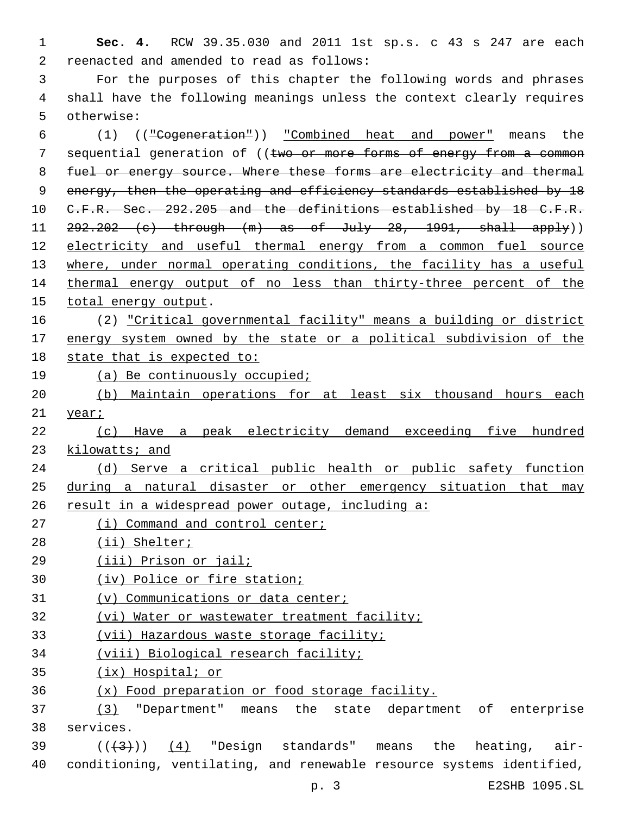**Sec. 4.** RCW 39.35.030 and 2011 1st sp.s. c 43 s 247 are each 2 reenacted and amended to read as follows:

 For the purposes of this chapter the following words and phrases shall have the following meanings unless the context clearly requires 5 otherwise:

 (1) (("Cogeneration")) "Combined heat and power" means the 7 sequential generation of ((two or more forms of energy from a common fuel or energy source. Where these forms are electricity and thermal 9 energy, then the operating and efficiency standards established by 18 10 C.F.R. Sec. 292.205 and the definitions established by 18 C.F.R. 11  $292.202$  (c) through  $(m)$  as of July 28, 1991, shall apply)) electricity and useful thermal energy from a common fuel source where, under normal operating conditions, the facility has a useful 14 thermal energy output of no less than thirty-three percent of the 15 total energy output.

- (2) "Critical governmental facility" means a building or district energy system owned by the state or a political subdivision of the state that is expected to:
- (a) Be continuously occupied;
- (b) Maintain operations for at least six thousand hours each 21 year;
- (c) Have a peak electricity demand exceeding five hundred kilowatts; and

 (d) Serve a critical public health or public safety function during a natural disaster or other emergency situation that may

- result in a widespread power outage, including a:
- 27 (i) Command and control center;
- 28 (ii) Shelter;
- (iii) Prison or jail;
- (iv) Police or fire station;
- (v) Communications or data center;
- 32 (vi) Water or wastewater treatment facility;
- (vii) Hazardous waste storage facility;
- (viii) Biological research facility;
- (ix) Hospital; or
- (x) Food preparation or food storage facility.

 (3) "Department" means the state department of enterprise 38 services.

39  $((+3+))$  (4) "Design standards" means the heating, air-conditioning, ventilating, and renewable resource systems identified,

p. 3 E2SHB 1095.SL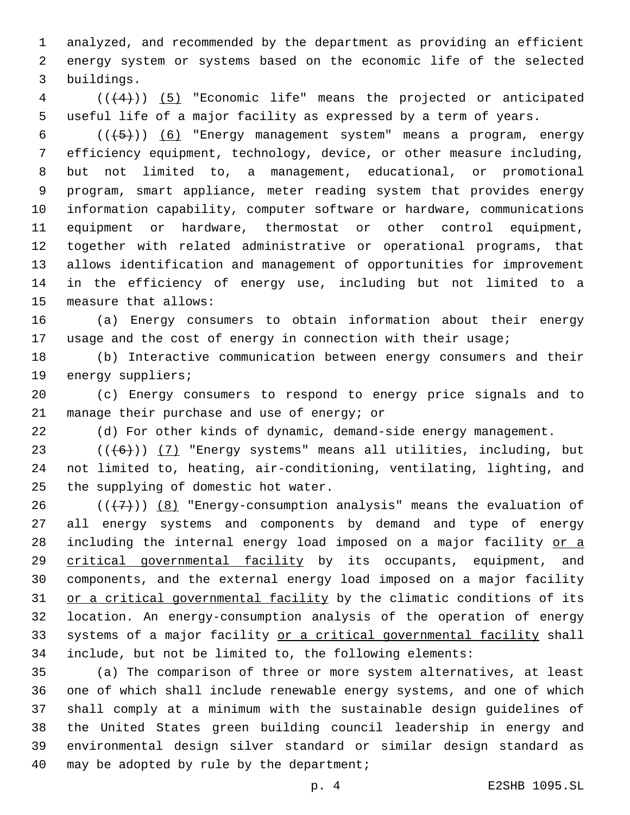analyzed, and recommended by the department as providing an efficient energy system or systems based on the economic life of the selected buildings.3

 (((4))) (5) "Economic life" means the projected or anticipated useful life of a major facility as expressed by a term of years.

 $((+5))$   $(6)$  "Energy management system" means a program, energy efficiency equipment, technology, device, or other measure including, but not limited to, a management, educational, or promotional program, smart appliance, meter reading system that provides energy information capability, computer software or hardware, communications equipment or hardware, thermostat or other control equipment, together with related administrative or operational programs, that allows identification and management of opportunities for improvement in the efficiency of energy use, including but not limited to a 15 measure that allows:

 (a) Energy consumers to obtain information about their energy usage and the cost of energy in connection with their usage;

 (b) Interactive communication between energy consumers and their 19 energy suppliers;

 (c) Energy consumers to respond to energy price signals and to 21 manage their purchase and use of energy; or

(d) For other kinds of dynamic, demand-side energy management.

 ( $(\overline{6})$ ) (7) "Energy systems" means all utilities, including, but not limited to, heating, air-conditioning, ventilating, lighting, and 25 the supplying of domestic hot water.

 $((+7+))$  (8) "Energy-consumption analysis" means the evaluation of all energy systems and components by demand and type of energy 28 including the internal energy load imposed on a major facility or a critical governmental facility by its occupants, equipment, and components, and the external energy load imposed on a major facility 31 or a critical governmental facility by the climatic conditions of its location. An energy-consumption analysis of the operation of energy 33 systems of a major facility or a critical governmental facility shall include, but not be limited to, the following elements:

 (a) The comparison of three or more system alternatives, at least one of which shall include renewable energy systems, and one of which shall comply at a minimum with the sustainable design guidelines of the United States green building council leadership in energy and environmental design silver standard or similar design standard as 40 may be adopted by rule by the department;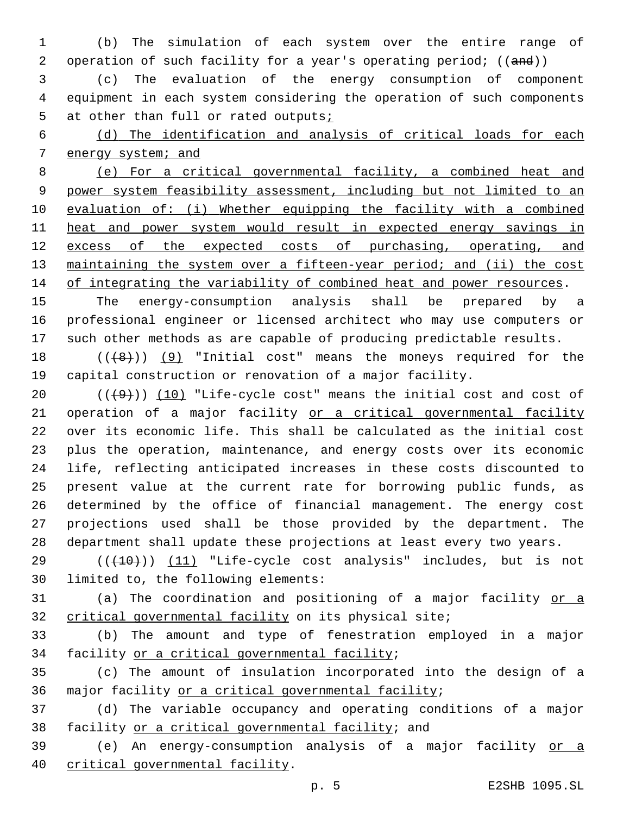(b) The simulation of each system over the entire range of 2 operation of such facility for a year's operating period; ((and))

 (c) The evaluation of the energy consumption of component equipment in each system considering the operation of such components at other than full or rated outputs;

 (d) The identification and analysis of critical loads for each energy system; and

 (e) For a critical governmental facility, a combined heat and power system feasibility assessment, including but not limited to an evaluation of: (i) Whether equipping the facility with a combined heat and power system would result in expected energy savings in 12 excess of the expected costs of purchasing, operating, and maintaining the system over a fifteen-year period; and (ii) the cost 14 of integrating the variability of combined heat and power resources.

 The energy-consumption analysis shall be prepared by a professional engineer or licensed architect who may use computers or such other methods as are capable of producing predictable results.

 $((+8+))$  (9) "Initial cost" means the moneys required for the capital construction or renovation of a major facility.

 $((+9))$   $(10)$  "Life-cycle cost" means the initial cost and cost of 21 operation of a major facility or a critical governmental facility over its economic life. This shall be calculated as the initial cost plus the operation, maintenance, and energy costs over its economic life, reflecting anticipated increases in these costs discounted to present value at the current rate for borrowing public funds, as determined by the office of financial management. The energy cost projections used shall be those provided by the department. The department shall update these projections at least every two years.

 $((+10))$  (11) "Life-cycle cost analysis" includes, but is not 30 limited to, the following elements:

 (a) The coordination and positioning of a major facility or a critical governmental facility on its physical site;

 (b) The amount and type of fenestration employed in a major 34 facility or a critical governmental facility;

 (c) The amount of insulation incorporated into the design of a 36 major facility or a critical governmental facility;

 (d) The variable occupancy and operating conditions of a major 38 facility or a critical governmental facility; and

 (e) An energy-consumption analysis of a major facility or a 40 critical governmental facility.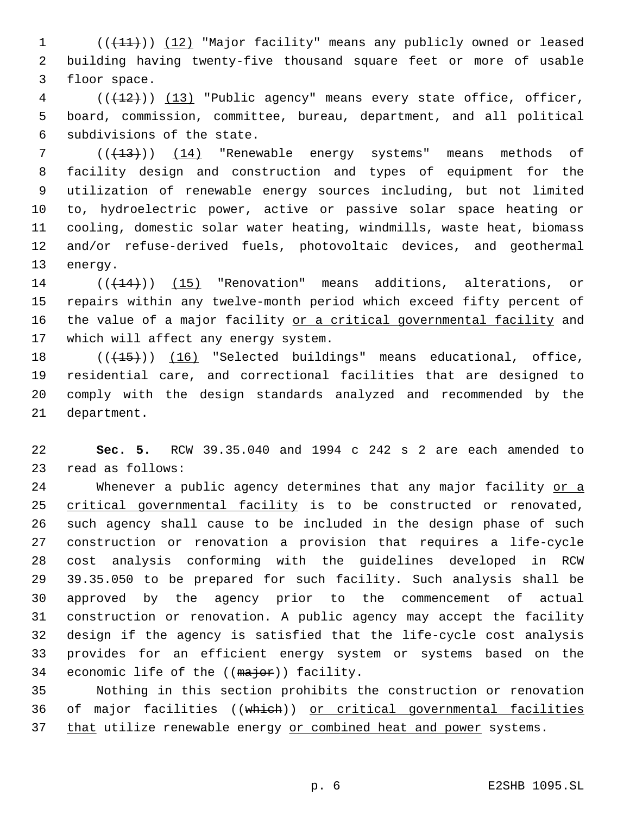1 (((11)) (12) "Major facility" means any publicly owned or leased 2 building having twenty-five thousand square feet or more of usable 3 floor space.

4 (( $(12)$ )) (13) "Public agency" means every state office, officer, 5 board, commission, committee, bureau, department, and all political 6 subdivisions of the state.

 ( $(\overline{+13})$ ) (14) "Renewable energy systems" means methods of facility design and construction and types of equipment for the utilization of renewable energy sources including, but not limited to, hydroelectric power, active or passive solar space heating or cooling, domestic solar water heating, windmills, waste heat, biomass and/or refuse-derived fuels, photovoltaic devices, and geothermal 13 energy.

14 (( $(14)$ )) (15) "Renovation" means additions, alterations, or 15 repairs within any twelve-month period which exceed fifty percent of 16 the value of a major facility or a critical governmental facility and 17 which will affect any energy system.

18 (( $(15)$ ) (16) "Selected buildings" means educational, office, 19 residential care, and correctional facilities that are designed to 20 comply with the design standards analyzed and recommended by the 21 department.

22 **Sec. 5.** RCW 39.35.040 and 1994 c 242 s 2 are each amended to 23 read as follows:

24 Whenever a public agency determines that any major facility or a critical governmental facility is to be constructed or renovated, such agency shall cause to be included in the design phase of such construction or renovation a provision that requires a life-cycle cost analysis conforming with the guidelines developed in RCW 39.35.050 to be prepared for such facility. Such analysis shall be approved by the agency prior to the commencement of actual construction or renovation. A public agency may accept the facility design if the agency is satisfied that the life-cycle cost analysis provides for an efficient energy system or systems based on the 34 economic life of the ((major)) facility.

35 Nothing in this section prohibits the construction or renovation 36 of major facilities ((which)) or critical governmental facilities 37 that utilize renewable energy or combined heat and power systems.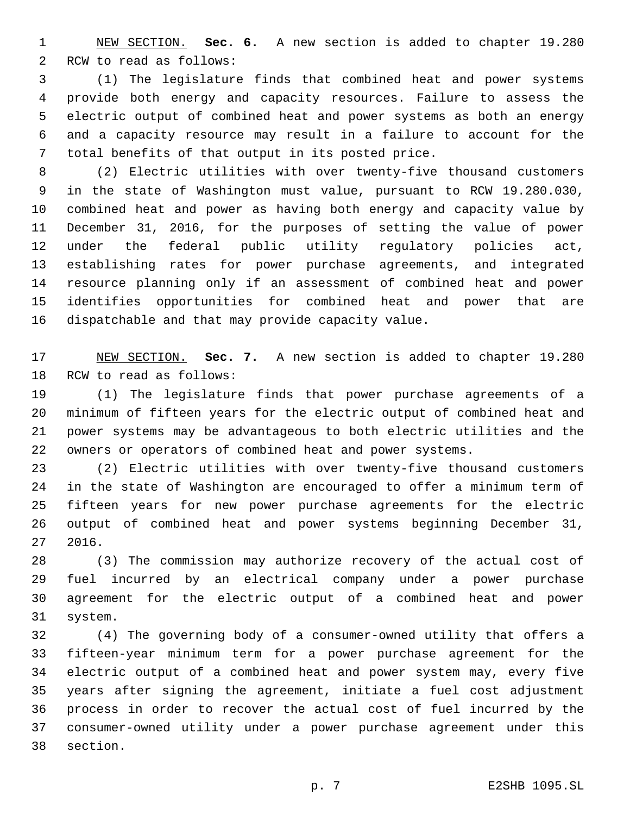NEW SECTION. **Sec. 6.** A new section is added to chapter 19.280 2 RCW to read as follows:

 (1) The legislature finds that combined heat and power systems provide both energy and capacity resources. Failure to assess the electric output of combined heat and power systems as both an energy and a capacity resource may result in a failure to account for the 7 total benefits of that output in its posted price.

 (2) Electric utilities with over twenty-five thousand customers in the state of Washington must value, pursuant to RCW 19.280.030, combined heat and power as having both energy and capacity value by December 31, 2016, for the purposes of setting the value of power under the federal public utility regulatory policies act, establishing rates for power purchase agreements, and integrated resource planning only if an assessment of combined heat and power identifies opportunities for combined heat and power that are 16 dispatchable and that may provide capacity value.

 NEW SECTION. **Sec. 7.** A new section is added to chapter 19.280 18 RCW to read as follows:

 (1) The legislature finds that power purchase agreements of a minimum of fifteen years for the electric output of combined heat and power systems may be advantageous to both electric utilities and the owners or operators of combined heat and power systems.

 (2) Electric utilities with over twenty-five thousand customers in the state of Washington are encouraged to offer a minimum term of fifteen years for new power purchase agreements for the electric output of combined heat and power systems beginning December 31, 2016.

 (3) The commission may authorize recovery of the actual cost of fuel incurred by an electrical company under a power purchase agreement for the electric output of a combined heat and power 31 system.

 (4) The governing body of a consumer-owned utility that offers a fifteen-year minimum term for a power purchase agreement for the electric output of a combined heat and power system may, every five years after signing the agreement, initiate a fuel cost adjustment process in order to recover the actual cost of fuel incurred by the consumer-owned utility under a power purchase agreement under this 38 section.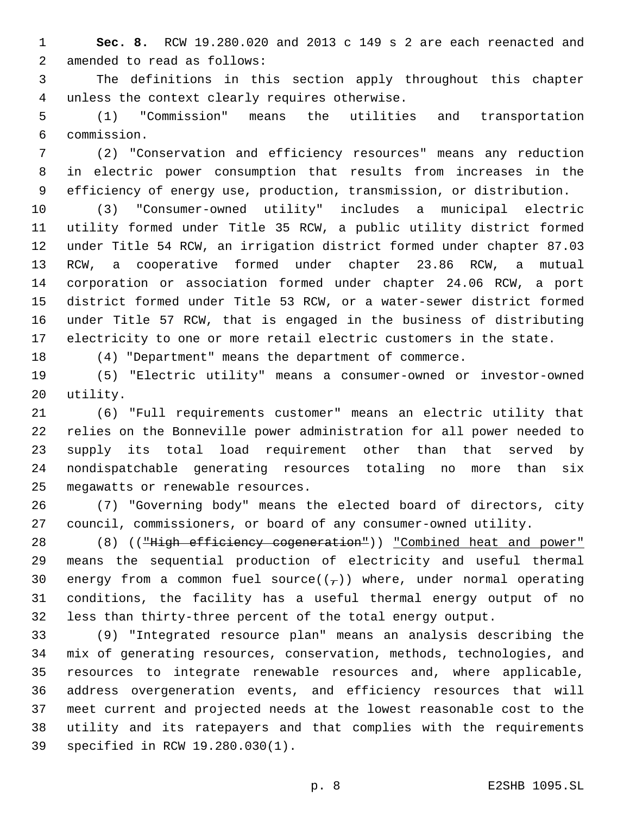**Sec. 8.** RCW 19.280.020 and 2013 c 149 s 2 are each reenacted and 2 amended to read as follows:

 The definitions in this section apply throughout this chapter unless the context clearly requires otherwise.4

 (1) "Commission" means the utilities and transportation commission.6

 (2) "Conservation and efficiency resources" means any reduction in electric power consumption that results from increases in the efficiency of energy use, production, transmission, or distribution.

 (3) "Consumer-owned utility" includes a municipal electric utility formed under Title 35 RCW, a public utility district formed under Title 54 RCW, an irrigation district formed under chapter 87.03 RCW, a cooperative formed under chapter 23.86 RCW, a mutual corporation or association formed under chapter 24.06 RCW, a port district formed under Title 53 RCW, or a water-sewer district formed under Title 57 RCW, that is engaged in the business of distributing electricity to one or more retail electric customers in the state.

(4) "Department" means the department of commerce.

 (5) "Electric utility" means a consumer-owned or investor-owned 20 utility.

 (6) "Full requirements customer" means an electric utility that relies on the Bonneville power administration for all power needed to supply its total load requirement other than that served by nondispatchable generating resources totaling no more than six 25 megawatts or renewable resources.

 (7) "Governing body" means the elected board of directors, city council, commissioners, or board of any consumer-owned utility.

28 (8) (("High efficiency cogeneration")) "Combined heat and power" means the sequential production of electricity and useful thermal 30 energy from a common fuel source( $(\tau)$ ) where, under normal operating conditions, the facility has a useful thermal energy output of no less than thirty-three percent of the total energy output.

 (9) "Integrated resource plan" means an analysis describing the mix of generating resources, conservation, methods, technologies, and resources to integrate renewable resources and, where applicable, address overgeneration events, and efficiency resources that will meet current and projected needs at the lowest reasonable cost to the utility and its ratepayers and that complies with the requirements 39 specified in RCW 19.280.030(1).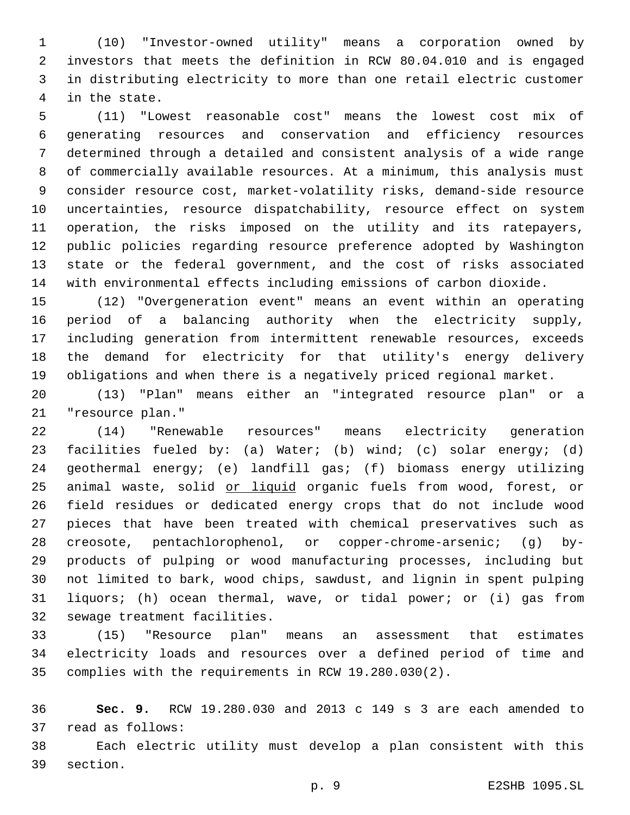(10) "Investor-owned utility" means a corporation owned by investors that meets the definition in RCW 80.04.010 and is engaged in distributing electricity to more than one retail electric customer 4 in the state.

 (11) "Lowest reasonable cost" means the lowest cost mix of generating resources and conservation and efficiency resources determined through a detailed and consistent analysis of a wide range of commercially available resources. At a minimum, this analysis must consider resource cost, market-volatility risks, demand-side resource uncertainties, resource dispatchability, resource effect on system operation, the risks imposed on the utility and its ratepayers, public policies regarding resource preference adopted by Washington state or the federal government, and the cost of risks associated with environmental effects including emissions of carbon dioxide.

 (12) "Overgeneration event" means an event within an operating period of a balancing authority when the electricity supply, including generation from intermittent renewable resources, exceeds the demand for electricity for that utility's energy delivery obligations and when there is a negatively priced regional market.

 (13) "Plan" means either an "integrated resource plan" or a 21 "resource plan."

 (14) "Renewable resources" means electricity generation facilities fueled by: (a) Water; (b) wind; (c) solar energy; (d) geothermal energy; (e) landfill gas; (f) biomass energy utilizing 25 animal waste, solid or liquid organic fuels from wood, forest, or field residues or dedicated energy crops that do not include wood pieces that have been treated with chemical preservatives such as creosote, pentachlorophenol, or copper-chrome-arsenic; (g) by- products of pulping or wood manufacturing processes, including but not limited to bark, wood chips, sawdust, and lignin in spent pulping liquors; (h) ocean thermal, wave, or tidal power; or (i) gas from 32 sewage treatment facilities.

 (15) "Resource plan" means an assessment that estimates electricity loads and resources over a defined period of time and complies with the requirements in RCW 19.280.030(2).

 **Sec. 9.** RCW 19.280.030 and 2013 c 149 s 3 are each amended to 37 read as follows:

 Each electric utility must develop a plan consistent with this 39 section.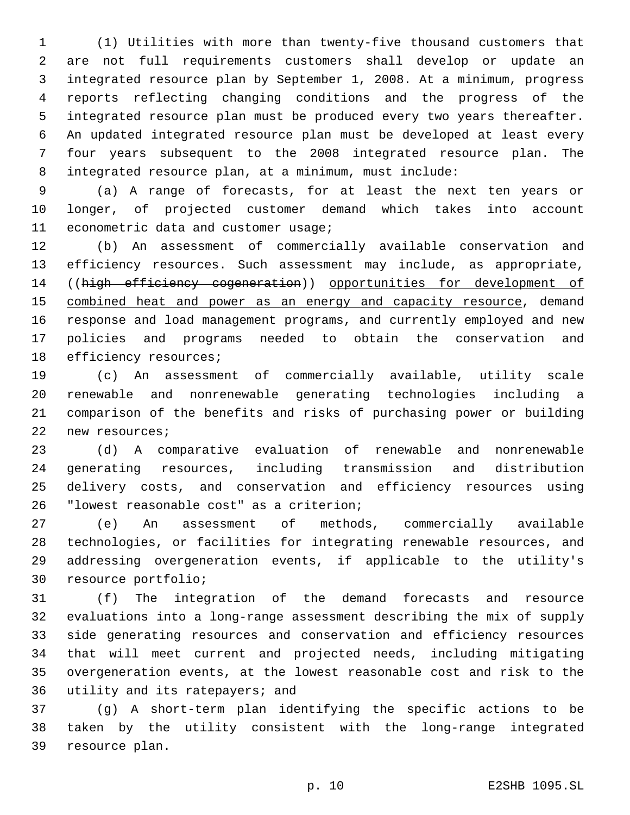(1) Utilities with more than twenty-five thousand customers that are not full requirements customers shall develop or update an integrated resource plan by September 1, 2008. At a minimum, progress reports reflecting changing conditions and the progress of the integrated resource plan must be produced every two years thereafter. An updated integrated resource plan must be developed at least every four years subsequent to the 2008 integrated resource plan. The integrated resource plan, at a minimum, must include:

 (a) A range of forecasts, for at least the next ten years or longer, of projected customer demand which takes into account 11 econometric data and customer usage;

 (b) An assessment of commercially available conservation and efficiency resources. Such assessment may include, as appropriate, ((high efficiency cogeneration)) opportunities for development of 15 combined heat and power as an energy and capacity resource, demand response and load management programs, and currently employed and new policies and programs needed to obtain the conservation and 18 efficiency resources;

 (c) An assessment of commercially available, utility scale renewable and nonrenewable generating technologies including a comparison of the benefits and risks of purchasing power or building 22 new resources;

 (d) A comparative evaluation of renewable and nonrenewable generating resources, including transmission and distribution delivery costs, and conservation and efficiency resources using 26 "lowest reasonable cost" as a criterion;

 (e) An assessment of methods, commercially available technologies, or facilities for integrating renewable resources, and addressing overgeneration events, if applicable to the utility's 30 resource portfolio;

 (f) The integration of the demand forecasts and resource evaluations into a long-range assessment describing the mix of supply side generating resources and conservation and efficiency resources that will meet current and projected needs, including mitigating overgeneration events, at the lowest reasonable cost and risk to the 36 utility and its ratepayers; and

 (g) A short-term plan identifying the specific actions to be taken by the utility consistent with the long-range integrated 39 resource plan.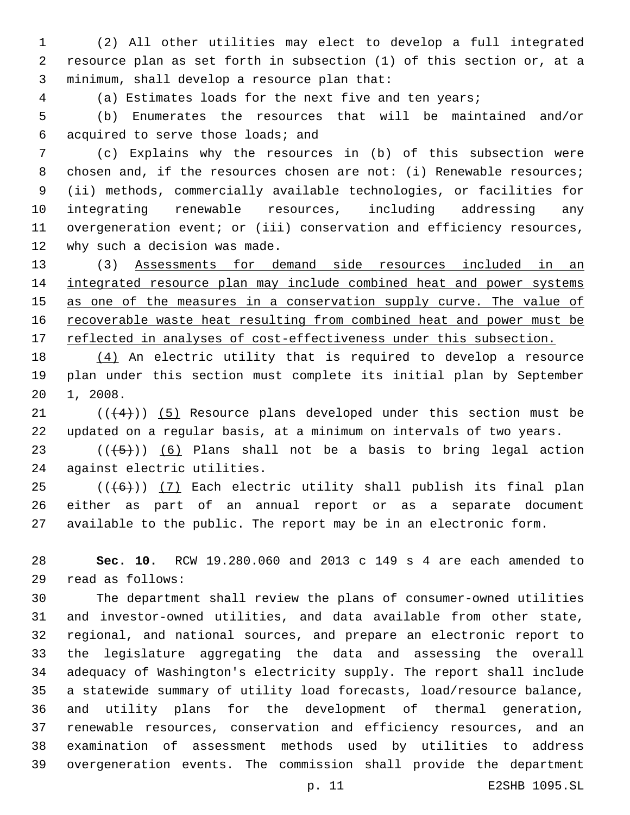(2) All other utilities may elect to develop a full integrated resource plan as set forth in subsection (1) of this section or, at a 3 minimum, shall develop a resource plan that:

(a) Estimates loads for the next five and ten years;

 (b) Enumerates the resources that will be maintained and/or 6 acquired to serve those loads; and

 (c) Explains why the resources in (b) of this subsection were 8 chosen and, if the resources chosen are not: (i) Renewable resources; (ii) methods, commercially available technologies, or facilities for integrating renewable resources, including addressing any overgeneration event; or (iii) conservation and efficiency resources, 12 why such a decision was made.

 (3) Assessments for demand side resources included in an integrated resource plan may include combined heat and power systems 15 as one of the measures in a conservation supply curve. The value of 16 recoverable waste heat resulting from combined heat and power must be 17 reflected in analyses of cost-effectiveness under this subsection.

 (4) An electric utility that is required to develop a resource plan under this section must complete its initial plan by September 20 1, 2008.

 $(1 + 4)$ ) (5) Resource plans developed under this section must be updated on a regular basis, at a minimum on intervals of two years.

23  $((+5+))$  (6) Plans shall not be a basis to bring legal action 24 against electric utilities.

 (( $(46)$ )) (7) Each electric utility shall publish its final plan either as part of an annual report or as a separate document available to the public. The report may be in an electronic form.

 **Sec. 10.** RCW 19.280.060 and 2013 c 149 s 4 are each amended to read as follows:29

 The department shall review the plans of consumer-owned utilities and investor-owned utilities, and data available from other state, regional, and national sources, and prepare an electronic report to the legislature aggregating the data and assessing the overall adequacy of Washington's electricity supply. The report shall include a statewide summary of utility load forecasts, load/resource balance, and utility plans for the development of thermal generation, renewable resources, conservation and efficiency resources, and an examination of assessment methods used by utilities to address overgeneration events. The commission shall provide the department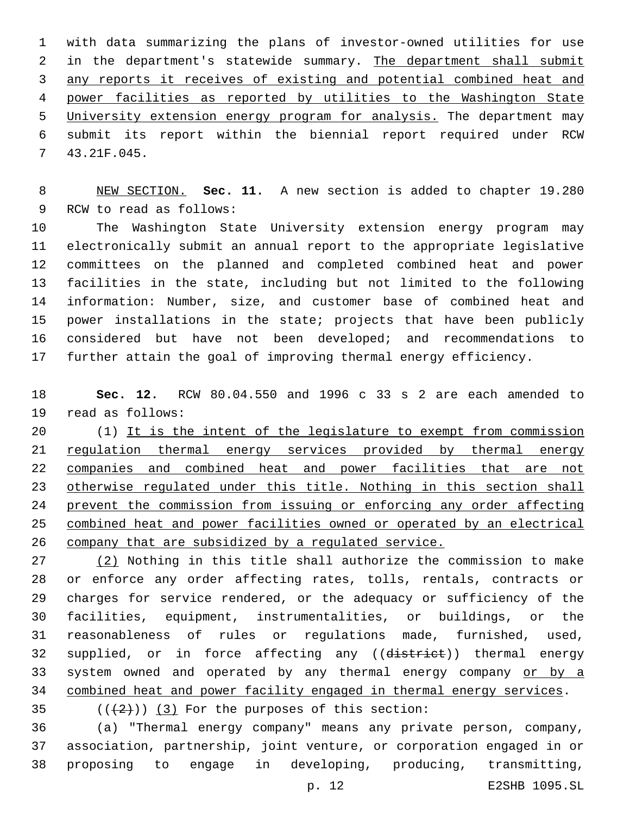with data summarizing the plans of investor-owned utilities for use 2 in the department's statewide summary. The department shall submit any reports it receives of existing and potential combined heat and power facilities as reported by utilities to the Washington State University extension energy program for analysis. The department may submit its report within the biennial report required under RCW 43.21F.045.7

 NEW SECTION. **Sec. 11.** A new section is added to chapter 19.280 9 RCW to read as follows:

 The Washington State University extension energy program may electronically submit an annual report to the appropriate legislative committees on the planned and completed combined heat and power facilities in the state, including but not limited to the following information: Number, size, and customer base of combined heat and power installations in the state; projects that have been publicly considered but have not been developed; and recommendations to further attain the goal of improving thermal energy efficiency.

 **Sec. 12.** RCW 80.04.550 and 1996 c 33 s 2 are each amended to 19 read as follows:

 (1) It is the intent of the legislature to exempt from commission 21 regulation thermal energy services provided by thermal energy companies and combined heat and power facilities that are not otherwise regulated under this title. Nothing in this section shall prevent the commission from issuing or enforcing any order affecting combined heat and power facilities owned or operated by an electrical company that are subsidized by a regulated service.

27 (2) Nothing in this title shall authorize the commission to make or enforce any order affecting rates, tolls, rentals, contracts or charges for service rendered, or the adequacy or sufficiency of the facilities, equipment, instrumentalities, or buildings, or the reasonableness of rules or regulations made, furnished, used, 32 supplied, or in force affecting any ((district)) thermal energy 33 system owned and operated by any thermal energy company or by a combined heat and power facility engaged in thermal energy services.

 $($   $($   $($   $($   $+2$   $)$   $)$   $($   $3$   $)$  For the purposes of this section:

 (a) "Thermal energy company" means any private person, company, association, partnership, joint venture, or corporation engaged in or proposing to engage in developing, producing, transmitting,

p. 12 E2SHB 1095.SL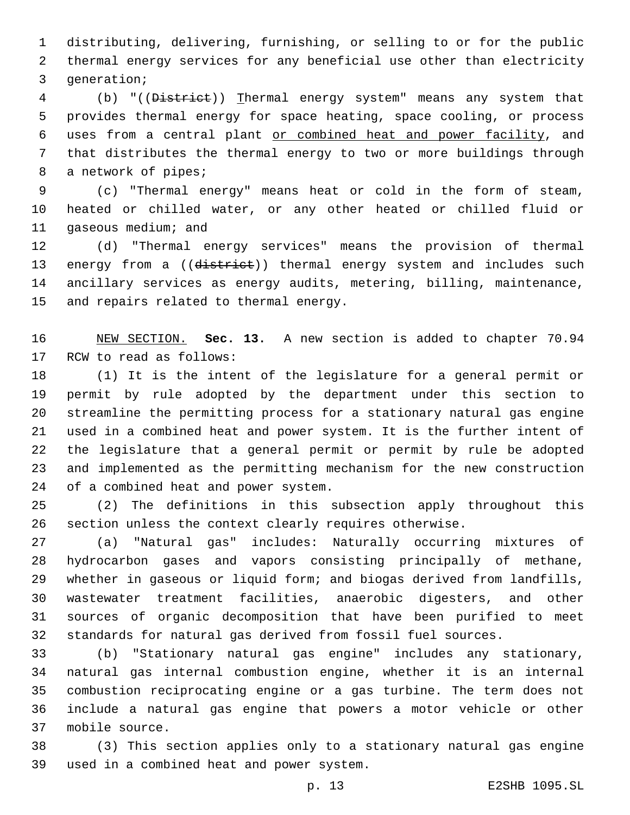distributing, delivering, furnishing, or selling to or for the public thermal energy services for any beneficial use other than electricity 3 generation;

 (b) "((District)) Thermal energy system" means any system that provides thermal energy for space heating, space cooling, or process uses from a central plant or combined heat and power facility, and that distributes the thermal energy to two or more buildings through 8 a network of pipes;

 (c) "Thermal energy" means heat or cold in the form of steam, heated or chilled water, or any other heated or chilled fluid or 11 gaseous medium; and

 (d) "Thermal energy services" means the provision of thermal 13 energy from a ((district)) thermal energy system and includes such ancillary services as energy audits, metering, billing, maintenance, 15 and repairs related to thermal energy.

 NEW SECTION. **Sec. 13.** A new section is added to chapter 70.94 17 RCW to read as follows:

 (1) It is the intent of the legislature for a general permit or permit by rule adopted by the department under this section to streamline the permitting process for a stationary natural gas engine used in a combined heat and power system. It is the further intent of the legislature that a general permit or permit by rule be adopted and implemented as the permitting mechanism for the new construction 24 of a combined heat and power system.

 (2) The definitions in this subsection apply throughout this section unless the context clearly requires otherwise.

 (a) "Natural gas" includes: Naturally occurring mixtures of hydrocarbon gases and vapors consisting principally of methane, whether in gaseous or liquid form; and biogas derived from landfills, wastewater treatment facilities, anaerobic digesters, and other sources of organic decomposition that have been purified to meet standards for natural gas derived from fossil fuel sources.

 (b) "Stationary natural gas engine" includes any stationary, natural gas internal combustion engine, whether it is an internal combustion reciprocating engine or a gas turbine. The term does not include a natural gas engine that powers a motor vehicle or other 37 mobile source.

 (3) This section applies only to a stationary natural gas engine 39 used in a combined heat and power system.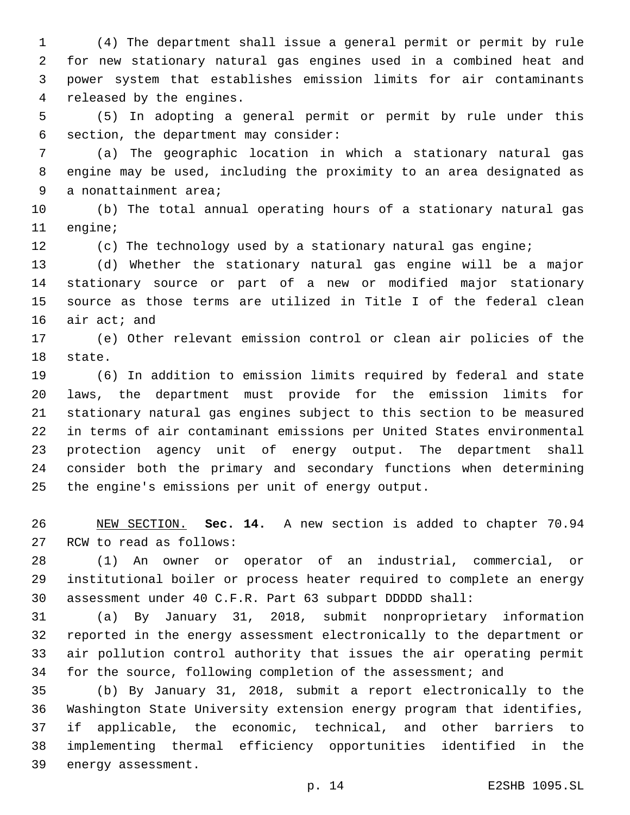(4) The department shall issue a general permit or permit by rule for new stationary natural gas engines used in a combined heat and power system that establishes emission limits for air contaminants 4 released by the engines.

 (5) In adopting a general permit or permit by rule under this 6 section, the department may consider:

 (a) The geographic location in which a stationary natural gas engine may be used, including the proximity to an area designated as 9 a nonattainment area;

 (b) The total annual operating hours of a stationary natural gas 11 engine;

(c) The technology used by a stationary natural gas engine;

 (d) Whether the stationary natural gas engine will be a major stationary source or part of a new or modified major stationary source as those terms are utilized in Title I of the federal clean 16 air act; and

 (e) Other relevant emission control or clean air policies of the 18 state.

 (6) In addition to emission limits required by federal and state laws, the department must provide for the emission limits for stationary natural gas engines subject to this section to be measured in terms of air contaminant emissions per United States environmental protection agency unit of energy output. The department shall consider both the primary and secondary functions when determining 25 the engine's emissions per unit of energy output.

 NEW SECTION. **Sec. 14.** A new section is added to chapter 70.94 27 RCW to read as follows:

 (1) An owner or operator of an industrial, commercial, or institutional boiler or process heater required to complete an energy assessment under 40 C.F.R. Part 63 subpart DDDDD shall:

 (a) By January 31, 2018, submit nonproprietary information reported in the energy assessment electronically to the department or air pollution control authority that issues the air operating permit 34 for the source, following completion of the assessment; and

 (b) By January 31, 2018, submit a report electronically to the Washington State University extension energy program that identifies, if applicable, the economic, technical, and other barriers to implementing thermal efficiency opportunities identified in the 39 energy assessment.